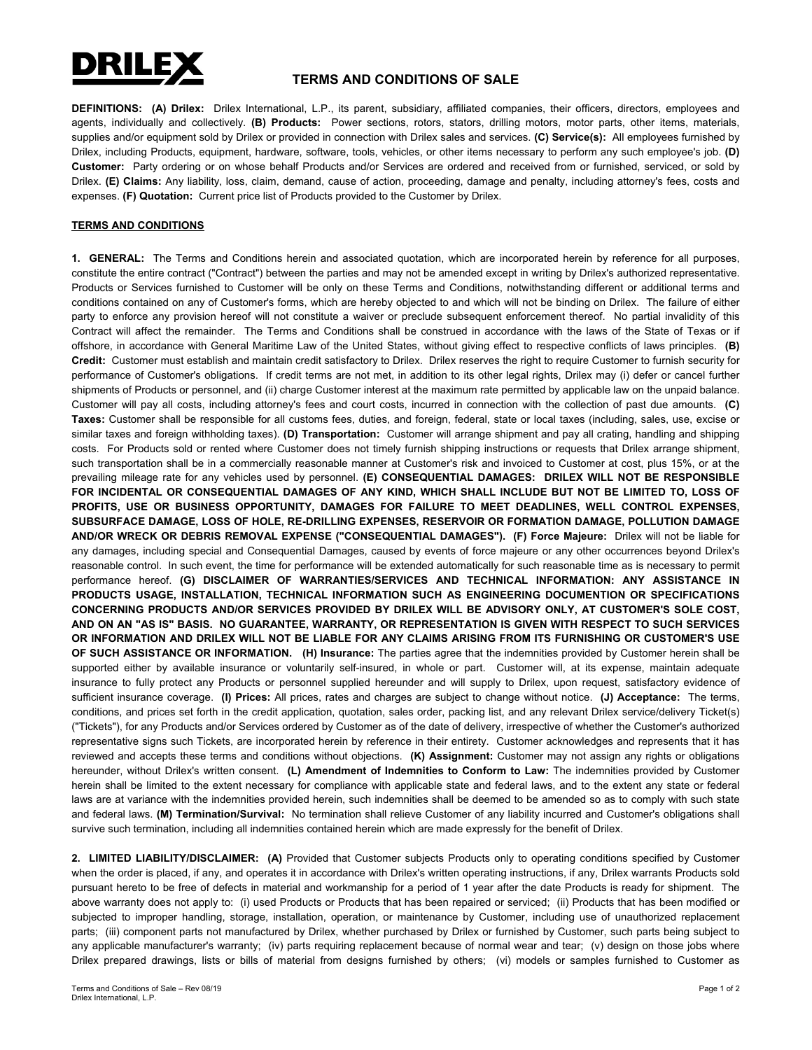

## **TERMS AND CONDITIONS OF SALE**

**DEFINITIONS: (A) Drilex:** Drilex International, L.P., its parent, subsidiary, affiliated companies, their officers, directors, employees and agents, individually and collectively. **(B) Products:** Power sections, rotors, stators, drilling motors, motor parts, other items, materials, supplies and/or equipment sold by Drilex or provided in connection with Drilex sales and services. **(C) Service(s):** All employees furnished by Drilex, including Products, equipment, hardware, software, tools, vehicles, or other items necessary to perform any such employee's job. **(D) Customer:** Party ordering or on whose behalf Products and/or Services are ordered and received from or furnished, serviced, or sold by Drilex. **(E) Claims:** Any liability, loss, claim, demand, cause of action, proceeding, damage and penalty, including attorney's fees, costs and expenses. **(F) Quotation:** Current price list of Products provided to the Customer by Drilex.

## **TERMS AND CONDITIONS**

**1. GENERAL:** The Terms and Conditions herein and associated quotation, which are incorporated herein by reference for all purposes, constitute the entire contract ("Contract") between the parties and may not be amended except in writing by Drilex's authorized representative. Products or Services furnished to Customer will be only on these Terms and Conditions, notwithstanding different or additional terms and conditions contained on any of Customer's forms, which are hereby objected to and which will not be binding on Drilex. The failure of either party to enforce any provision hereof will not constitute a waiver or preclude subsequent enforcement thereof. No partial invalidity of this Contract will affect the remainder. The Terms and Conditions shall be construed in accordance with the laws of the State of Texas or if offshore, in accordance with General Maritime Law of the United States, without giving effect to respective conflicts of laws principles. **(B) Credit:** Customer must establish and maintain credit satisfactory to Drilex. Drilex reserves the right to require Customer to furnish security for performance of Customer's obligations. If credit terms are not met, in addition to its other legal rights, Drilex may (i) defer or cancel further shipments of Products or personnel, and (ii) charge Customer interest at the maximum rate permitted by applicable law on the unpaid balance. Customer will pay all costs, including attorney's fees and court costs, incurred in connection with the collection of past due amounts. **(C) Taxes:** Customer shall be responsible for all customs fees, duties, and foreign, federal, state or local taxes (including, sales, use, excise or similar taxes and foreign withholding taxes). **(D) Transportation:** Customer will arrange shipment and pay all crating, handling and shipping costs. For Products sold or rented where Customer does not timely furnish shipping instructions or requests that Drilex arrange shipment, such transportation shall be in a commercially reasonable manner at Customer's risk and invoiced to Customer at cost, plus 15%, or at the prevailing mileage rate for any vehicles used by personnel. **(E) CONSEQUENTIAL DAMAGES: DRILEX WILL NOT BE RESPONSIBLE FOR INCIDENTAL OR CONSEQUENTIAL DAMAGES OF ANY KIND, WHICH SHALL INCLUDE BUT NOT BE LIMITED TO, LOSS OF PROFITS, USE OR BUSINESS OPPORTUNITY, DAMAGES FOR FAILURE TO MEET DEADLINES, WELL CONTROL EXPENSES, SUBSURFACE DAMAGE, LOSS OF HOLE, RE-DRILLING EXPENSES, RESERVOIR OR FORMATION DAMAGE, POLLUTION DAMAGE AND/OR WRECK OR DEBRIS REMOVAL EXPENSE ("CONSEQUENTIAL DAMAGES"). (F) Force Majeure:** Drilex will not be liable for any damages, including special and Consequential Damages, caused by events of force majeure or any other occurrences beyond Drilex's reasonable control. In such event, the time for performance will be extended automatically for such reasonable time as is necessary to permit performance hereof. **(G) DISCLAIMER OF WARRANTIES/SERVICES AND TECHNICAL INFORMATION: ANY ASSISTANCE IN PRODUCTS USAGE, INSTALLATION, TECHNICAL INFORMATION SUCH AS ENGINEERING DOCUMENTION OR SPECIFICATIONS CONCERNING PRODUCTS AND/OR SERVICES PROVIDED BY DRILEX WILL BE ADVISORY ONLY, AT CUSTOMER'S SOLE COST, AND ON AN "AS IS" BASIS. NO GUARANTEE, WARRANTY, OR REPRESENTATION IS GIVEN WITH RESPECT TO SUCH SERVICES OR INFORMATION AND DRILEX WILL NOT BE LIABLE FOR ANY CLAIMS ARISING FROM ITS FURNISHING OR CUSTOMER'S USE OF SUCH ASSISTANCE OR INFORMATION. (H) Insurance:** The parties agree that the indemnities provided by Customer herein shall be supported either by available insurance or voluntarily self-insured, in whole or part. Customer will, at its expense, maintain adequate insurance to fully protect any Products or personnel supplied hereunder and will supply to Drilex, upon request, satisfactory evidence of sufficient insurance coverage. **(I) Prices:** All prices, rates and charges are subject to change without notice. **(J) Acceptance:** The terms, conditions, and prices set forth in the credit application, quotation, sales order, packing list, and any relevant Drilex service/delivery Ticket(s) ("Tickets"), for any Products and/or Services ordered by Customer as of the date of delivery, irrespective of whether the Customer's authorized representative signs such Tickets, are incorporated herein by reference in their entirety. Customer acknowledges and represents that it has reviewed and accepts these terms and conditions without objections. **(K) Assignment:** Customer may not assign any rights or obligations hereunder, without Drilex's written consent. **(L) Amendment of Indemnities to Conform to Law:** The indemnities provided by Customer herein shall be limited to the extent necessary for compliance with applicable state and federal laws, and to the extent any state or federal laws are at variance with the indemnities provided herein, such indemnities shall be deemed to be amended so as to comply with such state and federal laws. **(M) Termination/Survival:** No termination shall relieve Customer of any liability incurred and Customer's obligations shall survive such termination, including all indemnities contained herein which are made expressly for the benefit of Drilex.

**2. LIMITED LIABILITY/DISCLAIMER: (A)** Provided that Customer subjects Products only to operating conditions specified by Customer when the order is placed, if any, and operates it in accordance with Drilex's written operating instructions, if any, Drilex warrants Products sold pursuant hereto to be free of defects in material and workmanship for a period of 1 year after the date Products is ready for shipment. The above warranty does not apply to: (i) used Products or Products that has been repaired or serviced; (ii) Products that has been modified or subjected to improper handling, storage, installation, operation, or maintenance by Customer, including use of unauthorized replacement parts; (iii) component parts not manufactured by Drilex, whether purchased by Drilex or furnished by Customer, such parts being subject to any applicable manufacturer's warranty; (iv) parts requiring replacement because of normal wear and tear; (v) design on those jobs where Drilex prepared drawings, lists or bills of material from designs furnished by others; (vi) models or samples furnished to Customer as